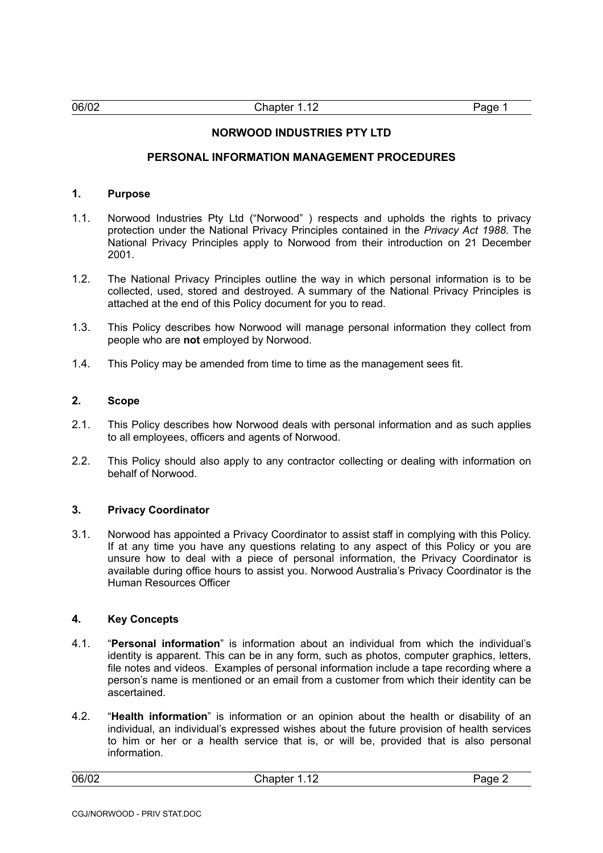# **NORWOOD INDUSTRIES PTY LTD**

### **PERSONAL INFORMATION MANAGEMENT PROCEDURES**

# **1. Purpose**

- 1.1. Norwood Industries Pty Ltd ("Norwood" ) respects and upholds the rights to privacy protection under the National Privacy Principles contained in the *Privacy Act 1988*. The National Privacy Principles apply to Norwood from their introduction on 21 December 2001.
- 1.2. The National Privacy Principles outline the way in which personal information is to be collected, used, stored and destroyed. A summary of the National Privacy Principles is attached at the end of this Policy document for you to read.
- 1.3. This Policy describes how Norwood will manage personal information they collect from people who are **not** employed by Norwood.
- 1.4. This Policy may be amended from time to time as the management sees fit.

#### **2. Scope**

- 2.1. This Policy describes how Norwood deals with personal information and as such applies to all employees, officers and agents of Norwood.
- 2.2. This Policy should also apply to any contractor collecting or dealing with information on behalf of Norwood.

#### **3. Privacy Coordinator**

3.1. Norwood has appointed a Privacy Coordinator to assist staff in complying with this Policy. If at any time you have any questions relating to any aspect of this Policy or you are unsure how to deal with a piece of personal information, the Privacy Coordinator is available during office hours to assist you. Norwood Australia's Privacy Coordinator is the Human Resources Officer

# **4. Key Concepts**

- 4.1. "**Personal information**" is information about an individual from which the individual's identity is apparent. This can be in any form, such as photos, computer graphics, letters, file notes and videos. Examples of personal information include a tape recording where a person's name is mentioned or an email from a customer from which their identity can be ascertained.
- 4.2. "**Health information**" is information or an opinion about the health or disability of an individual, an individual's expressed wishes about the future provision of health services to him or her or a health service that is, or will be, provided that is also personal information.

| 06/02 | <b>↑ Letter Letter</b><br>. .<br>1.14 | $- - -$<br>⊣ו ≀ |
|-------|---------------------------------------|-----------------|
|-------|---------------------------------------|-----------------|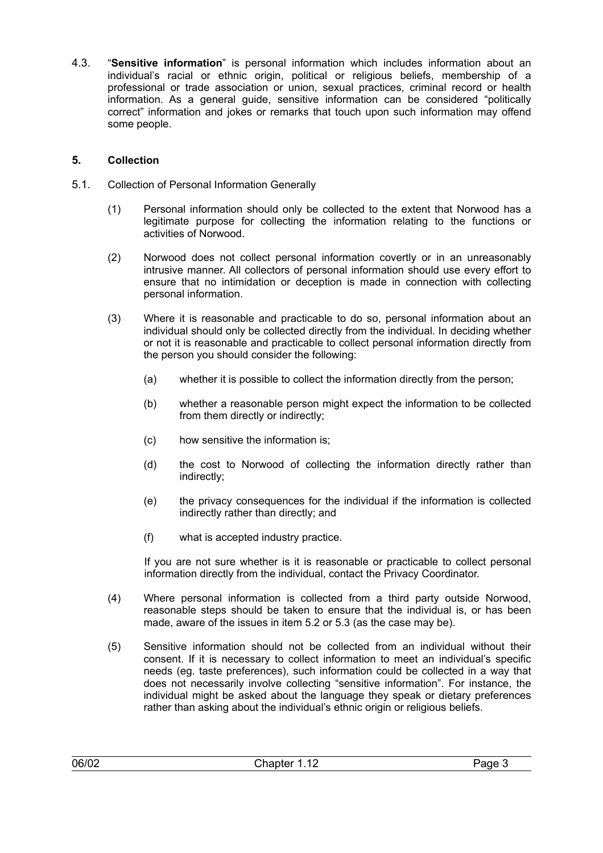4.3. "**Sensitive information**" is personal information which includes information about an individual's racial or ethnic origin, political or religious beliefs, membership of a professional or trade association or union, sexual practices, criminal record or health information. As a general guide, sensitive information can be considered "politically correct" information and jokes or remarks that touch upon such information may offend some people.

# **5. Collection**

- 5.1. Collection of Personal Information Generally
	- (1) Personal information should only be collected to the extent that Norwood has a legitimate purpose for collecting the information relating to the functions or activities of Norwood.
	- (2) Norwood does not collect personal information covertly or in an unreasonably intrusive manner. All collectors of personal information should use every effort to ensure that no intimidation or deception is made in connection with collecting personal information.
	- (3) Where it is reasonable and practicable to do so, personal information about an individual should only be collected directly from the individual. In deciding whether or not it is reasonable and practicable to collect personal information directly from the person you should consider the following:
		- (a) whether it is possible to collect the information directly from the person;
		- (b) whether a reasonable person might expect the information to be collected from them directly or indirectly;
		- (c) how sensitive the information is;
		- (d) the cost to Norwood of collecting the information directly rather than indirectly;
		- (e) the privacy consequences for the individual if the information is collected indirectly rather than directly; and
		- (f) what is accepted industry practice.

If you are not sure whether is it is reasonable or practicable to collect personal information directly from the individual, contact the Privacy Coordinator.

- (4) Where personal information is collected from a third party outside Norwood, reasonable steps should be taken to ensure that the individual is, or has been made, aware of the issues in item [5.2](#page-2-0) or [5.3](#page-3-0) (as the case may be).
- (5) Sensitive information should not be collected from an individual without their consent. If it is necessary to collect information to meet an individual's specific needs (eg. taste preferences), such information could be collected in a way that does not necessarily involve collecting "sensitive information". For instance, the individual might be asked about the language they speak or dietary preferences rather than asking about the individual's ethnic origin or religious beliefs.

| 06/02 | .<br>. .<br>. | --- |
|-------|---------------|-----|
|       |               |     |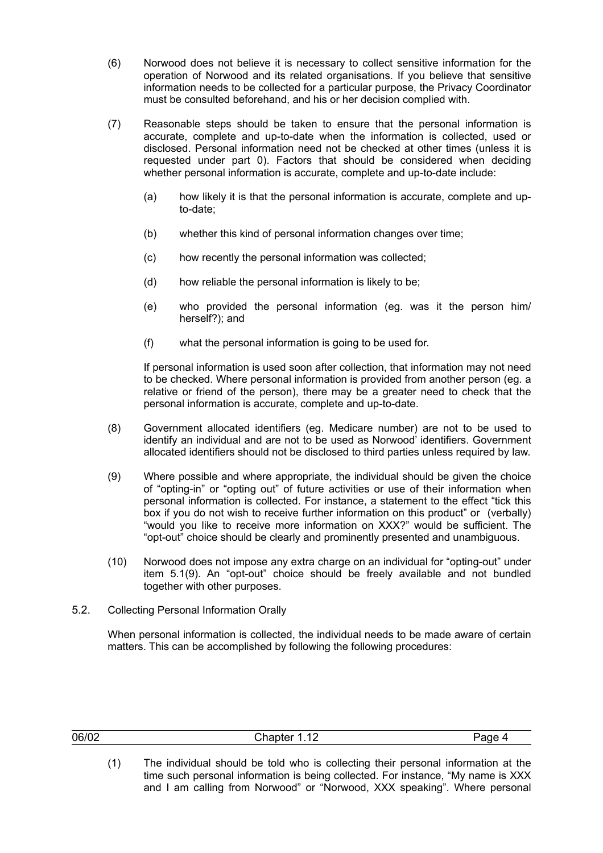- (6) Norwood does not believe it is necessary to collect sensitive information for the operation of Norwood and its related organisations. If you believe that sensitive information needs to be collected for a particular purpose, the Privacy Coordinator must be consulted beforehand, and his or her decision complied with.
- (7) Reasonable steps should be taken to ensure that the personal information is accurate, complete and up-to-date when the information is collected, used or disclosed. Personal information need not be checked at other times (unless it is requested under part [0\)](#page-8-0). Factors that should be considered when deciding whether personal information is accurate, complete and up-to-date include:
	- (a) how likely it is that the personal information is accurate, complete and upto-date;
	- (b) whether this kind of personal information changes over time;
	- (c) how recently the personal information was collected;
	- (d) how reliable the personal information is likely to be;
	- (e) who provided the personal information (eg. was it the person him/ herself?); and
	- (f) what the personal information is going to be used for.

If personal information is used soon after collection, that information may not need to be checked. Where personal information is provided from another person (eg. a relative or friend of the person), there may be a greater need to check that the personal information is accurate, complete and up-to-date.

- (8) Government allocated identifiers (eg. Medicare number) are not to be used to identify an individual and are not to be used as Norwood' identifiers. Government allocated identifiers should not be disclosed to third parties unless required by law.
- <span id="page-2-1"></span>(9) Where possible and where appropriate, the individual should be given the choice of "opting-in" or "opting out" of future activities or use of their information when personal information is collected. For instance, a statement to the effect "tick this box if you do not wish to receive further information on this product" or (verbally) "would you like to receive more information on XXX?" would be sufficient. The "opt-out" choice should be clearly and prominently presented and unambiguous.
- <span id="page-2-2"></span>(10) Norwood does not impose any extra charge on an individual for "opting-out" under item [5.1\(9\)](#page-2-1). An "opt-out" choice should be freely available and not bundled together with other purposes.
- 5.2. Collecting Personal Information Orally

<span id="page-2-0"></span>When personal information is collected, the individual needs to be made aware of certain matters. This can be accomplished by following the following procedures:

| 06/02 | Chapter 1.12 | י∩ה⊿ |
|-------|--------------|------|
|       |              |      |

(1) The individual should be told who is collecting their personal information at the time such personal information is being collected. For instance, "My name is XXX and I am calling from Norwood" or "Norwood, XXX speaking". Where personal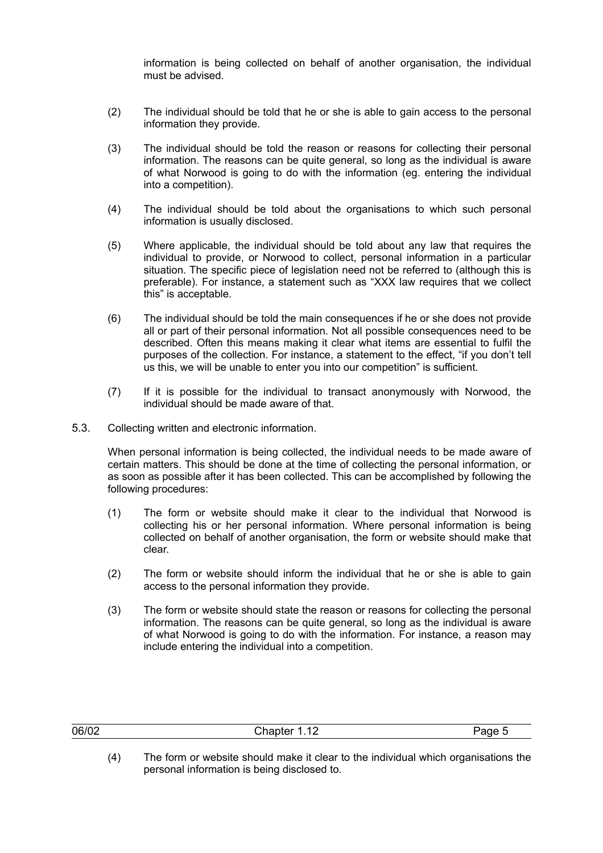information is being collected on behalf of another organisation, the individual must be advised.

- (2) The individual should be told that he or she is able to gain access to the personal information they provide.
- (3) The individual should be told the reason or reasons for collecting their personal information. The reasons can be quite general, so long as the individual is aware of what Norwood is going to do with the information (eg. entering the individual into a competition).
- (4) The individual should be told about the organisations to which such personal information is usually disclosed.
- (5) Where applicable, the individual should be told about any law that requires the individual to provide, or Norwood to collect, personal information in a particular situation. The specific piece of legislation need not be referred to (although this is preferable). For instance, a statement such as "XXX law requires that we collect this" is acceptable.
- (6) The individual should be told the main consequences if he or she does not provide all or part of their personal information. Not all possible consequences need to be described. Often this means making it clear what items are essential to fulfil the purposes of the collection. For instance, a statement to the effect, "if you don't tell us this, we will be unable to enter you into our competition" is sufficient.
- (7) If it is possible for the individual to transact anonymously with Norwood, the individual should be made aware of that.
- 5.3. Collecting written and electronic information.

<span id="page-3-0"></span>When personal information is being collected, the individual needs to be made aware of certain matters. This should be done at the time of collecting the personal information, or as soon as possible after it has been collected. This can be accomplished by following the following procedures:

- (1) The form or website should make it clear to the individual that Norwood is collecting his or her personal information. Where personal information is being collected on behalf of another organisation, the form or website should make that clear.
- (2) The form or website should inform the individual that he or she is able to gain access to the personal information they provide.
- (3) The form or website should state the reason or reasons for collecting the personal information. The reasons can be quite general, so long as the individual is aware of what Norwood is going to do with the information. For instance, a reason may include entering the individual into a competition.

| 06/02 | $\overline{a}$<br>ີhanter ⊤.<br>1.14 | د، |
|-------|--------------------------------------|----|
|       |                                      |    |

(4) The form or website should make it clear to the individual which organisations the personal information is being disclosed to.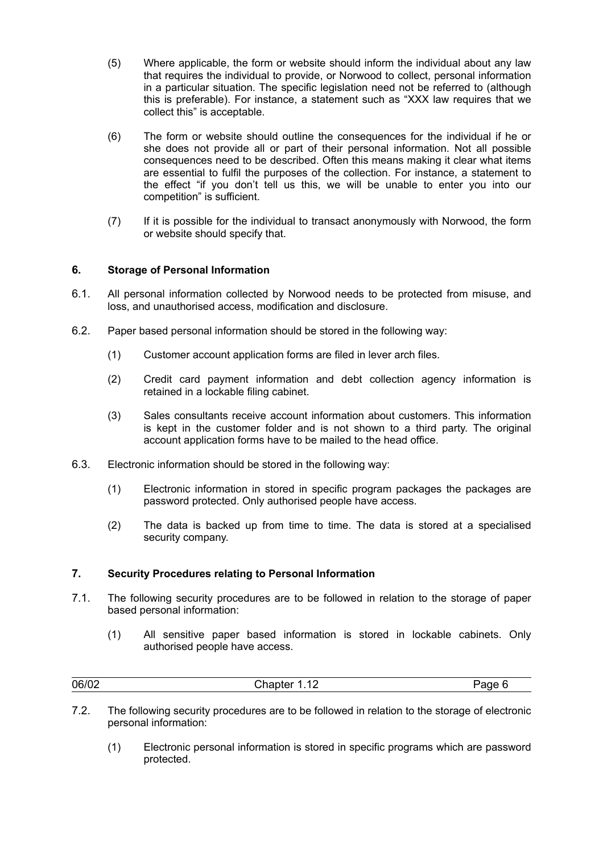- (5) Where applicable, the form or website should inform the individual about any law that requires the individual to provide, or Norwood to collect, personal information in a particular situation. The specific legislation need not be referred to (although this is preferable). For instance, a statement such as "XXX law requires that we collect this" is acceptable.
- (6) The form or website should outline the consequences for the individual if he or she does not provide all or part of their personal information. Not all possible consequences need to be described. Often this means making it clear what items are essential to fulfil the purposes of the collection. For instance, a statement to the effect "if you don't tell us this, we will be unable to enter you into our competition" is sufficient.
- (7) If it is possible for the individual to transact anonymously with Norwood, the form or website should specify that.

## **6. Storage of Personal Information**

- 6.1. All personal information collected by Norwood needs to be protected from misuse, and loss, and unauthorised access, modification and disclosure.
- 6.2. Paper based personal information should be stored in the following way:
	- (1) Customer account application forms are filed in lever arch files.
	- (2) Credit card payment information and debt collection agency information is retained in a lockable filing cabinet.
	- (3) Sales consultants receive account information about customers. This information is kept in the customer folder and is not shown to a third party. The original account application forms have to be mailed to the head office.
- 6.3. Electronic information should be stored in the following way:
	- (1) Electronic information in stored in specific program packages the packages are password protected. Only authorised people have access.
	- (2) The data is backed up from time to time. The data is stored at a specialised security company.

## **7. Security Procedures relating to Personal Information**

- 7.1. The following security procedures are to be followed in relation to the storage of paper based personal information:
	- (1) All sensitive paper based information is stored in lockable cabinets. Only authorised people have access.

| 06/02 | - - - |
|-------|-------|
|-------|-------|

- 7.2. The following security procedures are to be followed in relation to the storage of electronic personal information:
	- (1) Electronic personal information is stored in specific programs which are password protected.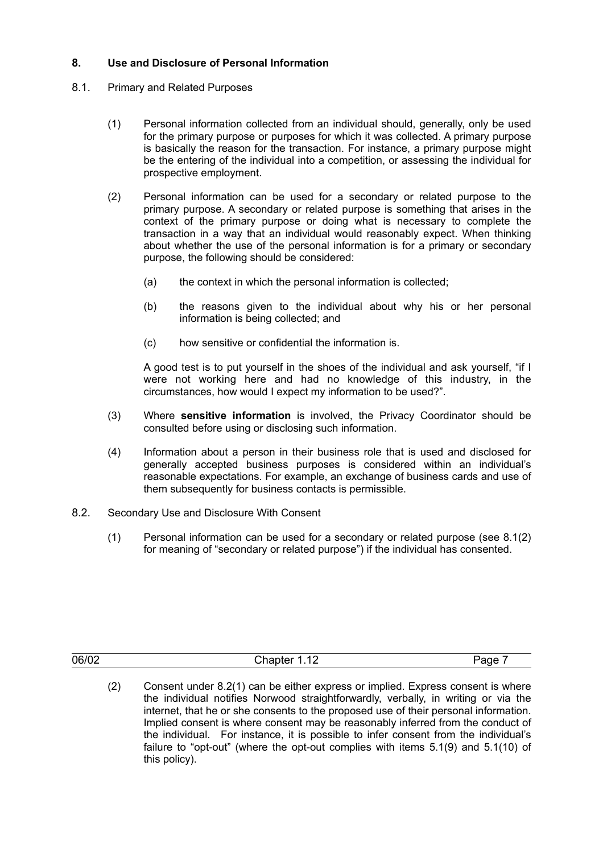# <span id="page-5-2"></span>**8. Use and Disclosure of Personal Information**

- <span id="page-5-3"></span><span id="page-5-0"></span>8.1. Primary and Related Purposes
	- (1) Personal information collected from an individual should, generally, only be used for the primary purpose or purposes for which it was collected. A primary purpose is basically the reason for the transaction. For instance, a primary purpose might be the entering of the individual into a competition, or assessing the individual for prospective employment.
	- (2) Personal information can be used for a secondary or related purpose to the primary purpose. A secondary or related purpose is something that arises in the context of the primary purpose or doing what is necessary to complete the transaction in a way that an individual would reasonably expect. When thinking about whether the use of the personal information is for a primary or secondary purpose, the following should be considered:
		- (a) the context in which the personal information is collected;
		- (b) the reasons given to the individual about why his or her personal information is being collected; and
		- (c) how sensitive or confidential the information is.

A good test is to put yourself in the shoes of the individual and ask yourself, "if I were not working here and had no knowledge of this industry, in the circumstances, how would I expect my information to be used?".

- (3) Where **sensitive information** is involved, the Privacy Coordinator should be consulted before using or disclosing such information.
- (4) Information about a person in their business role that is used and disclosed for generally accepted business purposes is considered within an individual's reasonable expectations. For example, an exchange of business cards and use of them subsequently for business contacts is permissible.
- <span id="page-5-1"></span>8.2. Secondary Use and Disclosure With Consent
	- (1) Personal information can be used for a secondary or related purpose (see [8.1\(2\)](#page-5-0) for meaning of "secondary or related purpose") if the individual has consented.

| 06/02 | . |  |
|-------|---|--|
|       |   |  |

(2) Consent under [8.2\(1\)](#page-5-1) can be either express or implied. Express consent is where the individual notifies Norwood straightforwardly, verbally, in writing or via the internet, that he or she consents to the proposed use of their personal information. Implied consent is where consent may be reasonably inferred from the conduct of the individual. For instance, it is possible to infer consent from the individual's failure to "opt-out" (where the opt-out complies with items [5.1\(9\)](#page-2-1) and [5.1\(10\)](#page-2-2) of this policy).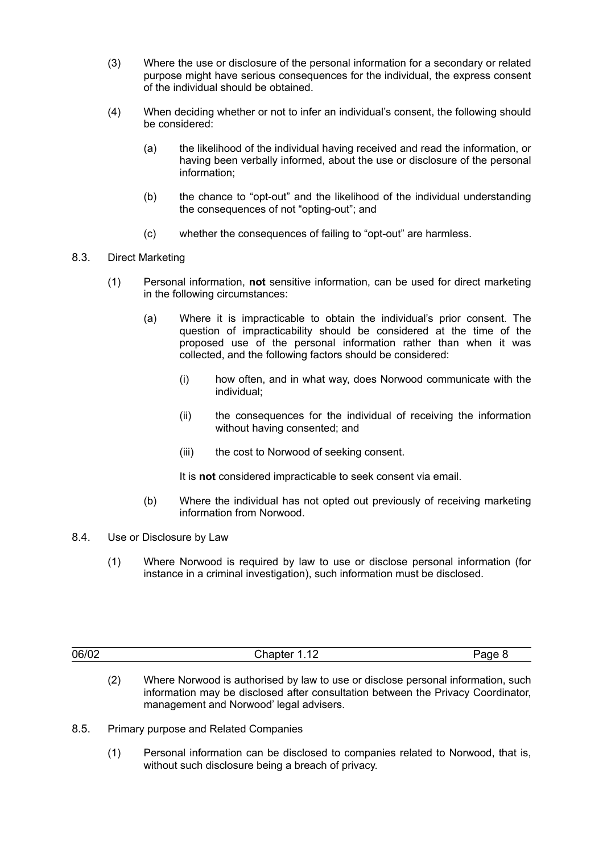- (3) Where the use or disclosure of the personal information for a secondary or related purpose might have serious consequences for the individual, the express consent of the individual should be obtained.
- (4) When deciding whether or not to infer an individual's consent, the following should be considered:
	- (a) the likelihood of the individual having received and read the information, or having been verbally informed, about the use or disclosure of the personal information;
	- (b) the chance to "opt-out" and the likelihood of the individual understanding the consequences of not "opting-out"; and
	- (c) whether the consequences of failing to "opt-out" are harmless.

## 8.3. Direct Marketing

- (1) Personal information, **not** sensitive information, can be used for direct marketing in the following circumstances:
	- (a) Where it is impracticable to obtain the individual's prior consent. The question of impracticability should be considered at the time of the proposed use of the personal information rather than when it was collected, and the following factors should be considered:
		- (i) how often, and in what way, does Norwood communicate with the individual;
		- (ii) the consequences for the individual of receiving the information without having consented; and
		- (iii) the cost to Norwood of seeking consent.

It is **not** considered impracticable to seek consent via email.

- (b) Where the individual has not opted out previously of receiving marketing information from Norwood.
- 8.4. Use or Disclosure by Law
	- (1) Where Norwood is required by law to use or disclose personal information (for instance in a criminal investigation), such information must be disclosed.

| 06/02 | . .<br>` l- - -- + - --<br>. | •≍⊔ ≔ |
|-------|------------------------------|-------|
|       |                              |       |

- (2) Where Norwood is authorised by law to use or disclose personal information, such information may be disclosed after consultation between the Privacy Coordinator, management and Norwood' legal advisers.
- <span id="page-6-1"></span><span id="page-6-0"></span>8.5. Primary purpose and Related Companies
	- (1) Personal information can be disclosed to companies related to Norwood, that is, without such disclosure being a breach of privacy.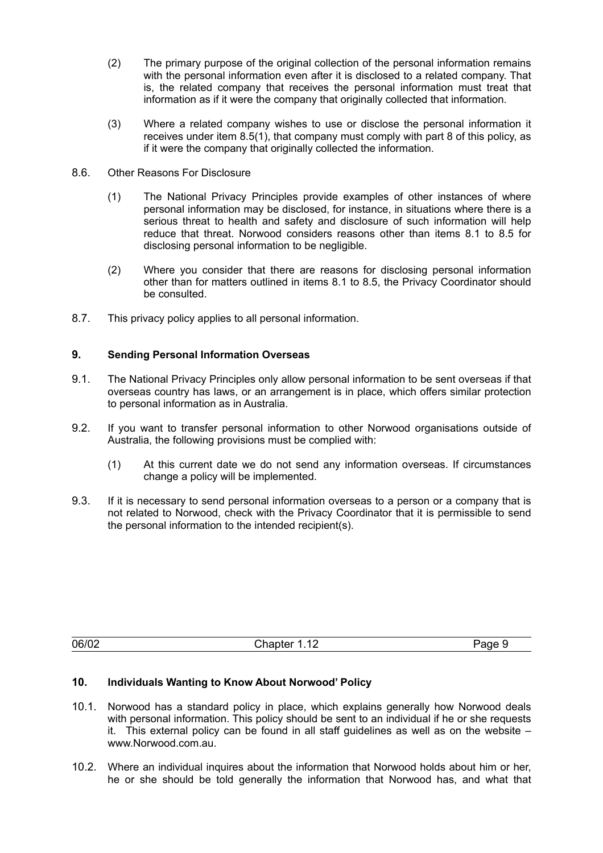- (2) The primary purpose of the original collection of the personal information remains with the personal information even after it is disclosed to a related company. That is, the related company that receives the personal information must treat that information as if it were the company that originally collected that information.
- (3) Where a related company wishes to use or disclose the personal information it receives under item [8.5\(1\)](#page-6-0), that company must comply with part [8](#page-5-2) of this policy, as if it were the company that originally collected the information.
- 8.6. Other Reasons For Disclosure
	- (1) The National Privacy Principles provide examples of other instances of where personal information may be disclosed, for instance, in situations where there is a serious threat to health and safety and disclosure of such information will help reduce that threat. Norwood considers reasons other than items [8.1](#page-5-3) to [8.5](#page-6-1) for disclosing personal information to be negligible.
	- (2) Where you consider that there are reasons for disclosing personal information other than for matters outlined in items [8.1](#page-5-3) to [8.5,](#page-6-1) the Privacy Coordinator should be consulted.
- 8.7. This privacy policy applies to all personal information.

## **9. Sending Personal Information Overseas**

- 9.1. The National Privacy Principles only allow personal information to be sent overseas if that overseas country has laws, or an arrangement is in place, which offers similar protection to personal information as in Australia.
- 9.2. If you want to transfer personal information to other Norwood organisations outside of Australia, the following provisions must be complied with:
	- (1) At this current date we do not send any information overseas. If circumstances change a policy will be implemented.
- 9.3. If it is necessary to send personal information overseas to a person or a company that is not related to Norwood, check with the Privacy Coordinator that it is permissible to send the personal information to the intended recipient(s).

| 06/02 | $\overline{a}$<br>`hanter 1.<br>1.12 | •⊿⊓ ד |
|-------|--------------------------------------|-------|
|       |                                      |       |

# **10. Individuals Wanting to Know About Norwood' Policy**

- 10.1. Norwood has a standard policy in place, which explains generally how Norwood deals with personal information. This policy should be sent to an individual if he or she requests it. This external policy can be found in all staff quidelines as well as on the website  $$ www.Norwood.com.au.
- 10.2. Where an individual inquires about the information that Norwood holds about him or her, he or she should be told generally the information that Norwood has, and what that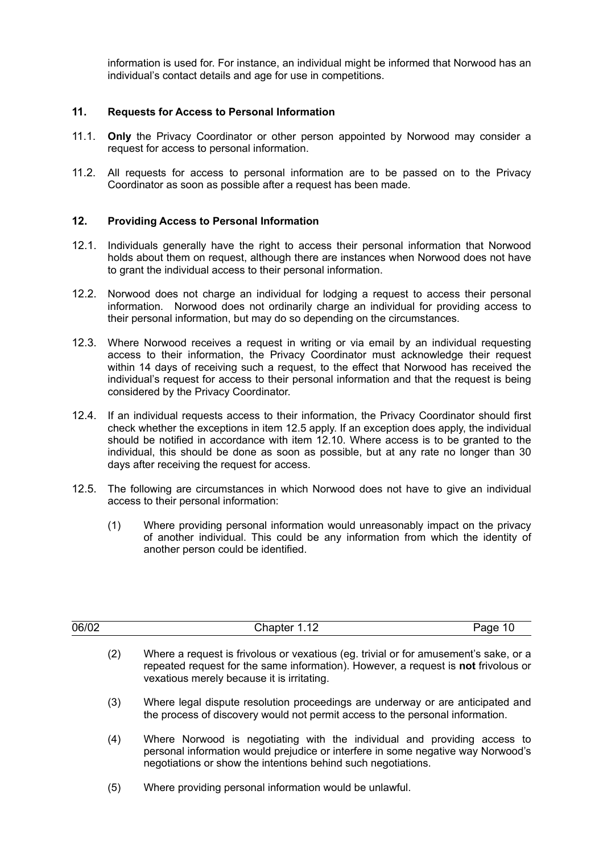information is used for. For instance, an individual might be informed that Norwood has an individual's contact details and age for use in competitions.

#### **11. Requests for Access to Personal Information**

- 11.1. **Only** the Privacy Coordinator or other person appointed by Norwood may consider a request for access to personal information.
- 11.2. All requests for access to personal information are to be passed on to the Privacy Coordinator as soon as possible after a request has been made.

## **12. Providing Access to Personal Information**

- 12.1. Individuals generally have the right to access their personal information that Norwood holds about them on request, although there are instances when Norwood does not have to grant the individual access to their personal information.
- 12.2. Norwood does not charge an individual for lodging a request to access their personal information. Norwood does not ordinarily charge an individual for providing access to their personal information, but may do so depending on the circumstances.
- 12.3. Where Norwood receives a request in writing or via email by an individual requesting access to their information, the Privacy Coordinator must acknowledge their request within 14 days of receiving such a request, to the effect that Norwood has received the individual's request for access to their personal information and that the request is being considered by the Privacy Coordinator.
- 12.4. If an individual requests access to their information, the Privacy Coordinator should first check whether the exceptions in item [12.5](#page-8-1) apply. If an exception does apply, the individual should be notified in accordance with item [12.10](#page-9-0). Where access is to be granted to the individual, this should be done as soon as possible, but at any rate no longer than 30 days after receiving the request for access.
- <span id="page-8-2"></span><span id="page-8-1"></span>12.5. The following are circumstances in which Norwood does not have to give an individual access to their personal information:
	- (1) Where providing personal information would unreasonably impact on the privacy of another individual. This could be any information from which the identity of another person could be identified.

<span id="page-8-0"></span>

| 06/02 | Chapter 1.12                                                                                                                                                                                                                  | Page 10 |
|-------|-------------------------------------------------------------------------------------------------------------------------------------------------------------------------------------------------------------------------------|---------|
| (2)   | Where a request is frivolous or vexatious (eq. trivial or for amusement's sake, or a<br>repeated request for the same information). However, a request is not frivolous or<br>vexatious merely because it is irritating.      |         |
| (3)   | Where legal dispute resolution proceedings are underway or are anticipated and<br>the process of discovery would not permit access to the personal information.                                                               |         |
| (4)   | Where Norwood is negotiating with the individual and providing access to<br>personal information would prejudice or interfere in some negative way Norwood's<br>negotiations or show the intentions behind such negotiations. |         |
| (5)   | Where providing personal information would be unlawful.                                                                                                                                                                       |         |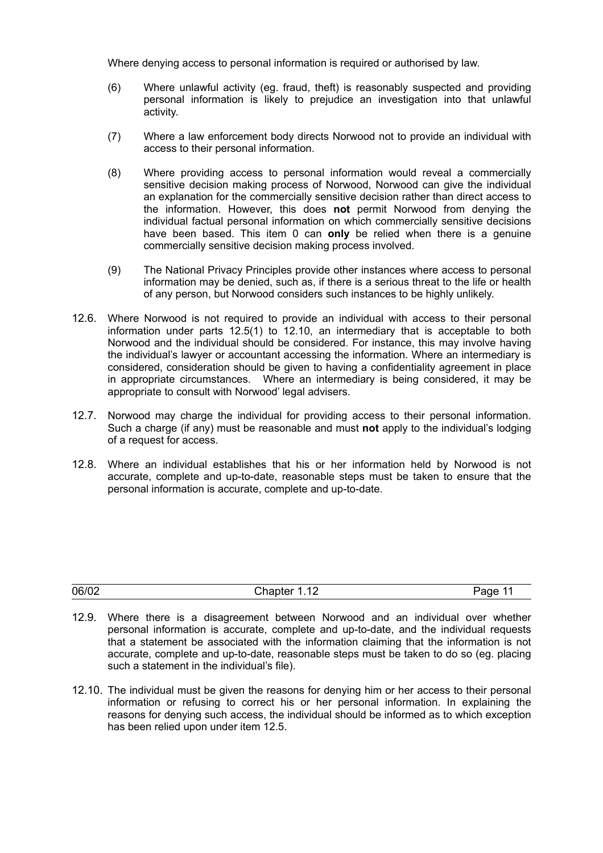Where denying access to personal information is required or authorised by law.

- (6) Where unlawful activity (eg. fraud, theft) is reasonably suspected and providing personal information is likely to prejudice an investigation into that unlawful activity.
- (7) Where a law enforcement body directs Norwood not to provide an individual with access to their personal information.
- (8) Where providing access to personal information would reveal a commercially sensitive decision making process of Norwood, Norwood can give the individual an explanation for the commercially sensitive decision rather than direct access to the information. However, this does **not** permit Norwood from denying the individual factual personal information on which commercially sensitive decisions have been based. This item [0](#page-9-1) can **only** be relied when there is a genuine commercially sensitive decision making process involved.
- (9) The National Privacy Principles provide other instances where access to personal information may be denied, such as, if there is a serious threat to the life or health of any person, but Norwood considers such instances to be highly unlikely.
- 12.6. Where Norwood is not required to provide an individual with access to their personal information under parts [12.5\(1\)](#page-8-2) to [12.10,](#page-9-0) an intermediary that is acceptable to both Norwood and the individual should be considered. For instance, this may involve having the individual's lawyer or accountant accessing the information. Where an intermediary is considered, consideration should be given to having a confidentiality agreement in place in appropriate circumstances. Where an intermediary is being considered, it may be appropriate to consult with Norwood' legal advisers.
- 12.7. Norwood may charge the individual for providing access to their personal information. Such a charge (if any) must be reasonable and must **not** apply to the individual's lodging of a request for access.
- 12.8. Where an individual establishes that his or her information held by Norwood is not accurate, complete and up-to-date, reasonable steps must be taken to ensure that the personal information is accurate, complete and up-to-date.

| 06/02 | $\overline{a}$<br>Chapter<br>1.14 | Page |
|-------|-----------------------------------|------|
|       |                                   |      |

- 12.9. Where there is a disagreement between Norwood and an individual over whether personal information is accurate, complete and up-to-date, and the individual requests that a statement be associated with the information claiming that the information is not accurate, complete and up-to-date, reasonable steps must be taken to do so (eg. placing such a statement in the individual's file).
- <span id="page-9-1"></span><span id="page-9-0"></span>12.10. The individual must be given the reasons for denying him or her access to their personal information or refusing to correct his or her personal information. In explaining the reasons for denying such access, the individual should be informed as to which exception has been relied upon under item [12.5](#page-8-1).